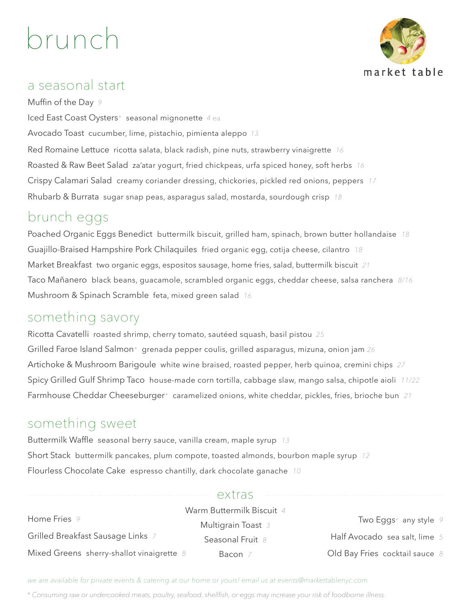# brunch



#### a seasonal start

Muffin of the Day *9* Iced East Coast Oysters*\** seasonal mignonette *4 ea.* Avocado Toast cucumber, lime, pistachio, pimienta aleppo *13* Red Romaine Lettuce ricotta salata, black radish, pine nuts, strawberry vinaigrette *16* Roasted & Raw Beet Salad za'atar yogurt, fried chickpeas, urfa spiced honey, soft herbs *16* Crispy Calamari Salad creamy coriander dressing, chickories, pickled red onions, peppers *17* Rhubarb & Burrata sugar snap peas, asparagus salad, mostarda, sourdough crisp *18*

## brunch eggs

Poached Organic Eggs Benedictbuttermilk biscuit, grilled ham, spinach, brown butter hollandaise *18* Guajillo-Braised Hampshire Pork Chilaquilesfried organic egg, cotija cheese, cilantro *18* Market Breakfasttwo organic eggs, espositos sausage, home fries, salad, buttermilk biscuit *21* Taco Mañaneroblack beans, guacamole, scrambled organic eggs, cheddar cheese, salsa ranchera *8/16* Mushroom & Spinach Scramble feta, mixed green salad *16*

## something savory

Ricotta Cavatelli roasted shrimp, cherry tomato, sautéed squash, basil pistou *25* Grilled Faroe Island Salmon*\** grenada pepper coulis, grilled asparagus, mizuna, onion jam *26* Artichoke & Mushroom Barigoule white wine braised, roasted pepper, herb quinoa, cremini chips *27* Spicy Grilled Gulf Shrimp Taco house-made corn tortilla, cabbage slaw, mango salsa, chipotle aioli *11/22* Farmhouse Cheddar Cheeseburger*\** caramelized onions, white cheddar, pickles, fries, brioche bun *21*

## something sweet

Buttermilk Waffle seasonal berry sauce, vanilla cream, maple syrup *13* Short Stack buttermilk pancakes, plum compote, toasted almonds, bourbon maple syrup *12* Flourless Chocolate Cake espresso chantilly, dark chocolate ganache *10*

#### extras

|                                             | Warm Buttermilk Biscuit 4 |                                |
|---------------------------------------------|---------------------------|--------------------------------|
| Home Fries 9                                | Multigrain Toast 3        | Two Eggs* any style $9$        |
| Grilled Breakfast Sausage Links 7           | Seasonal Fruit 8          | Half Avocado sea salt, lime 5  |
| Mixed Greens sherry-shallot vinaigrette $8$ | Bacon $7$                 | Old Bay Fries cocktail sauce 8 |

*we are available for private events & catering at our home or yours! email us at events@markettablenyc.com*

*\* Consuming raw or undercooked meats, poultry, seafood, shellfish, or eggs may increase your risk of foodborne illness.*